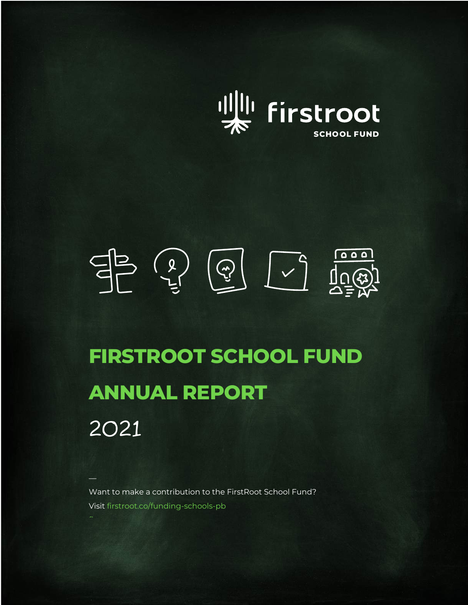

$$
\begin{array}{c}\n\text{max.} \\
\text{max.} \\
\text{max.}\n\end{array}
$$

# **FIRSTROOT SCHOOL FUND ANNUAL REPORT** 2021

Want to make a contribution to the FirstRoot School Fund? Visit firstroot.co/funding-schools-pb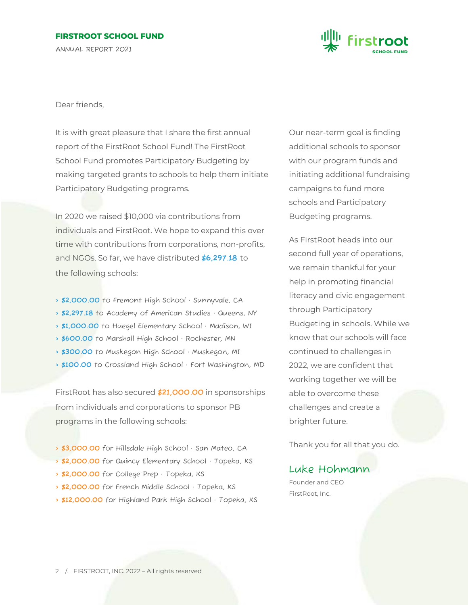## **FIRSTROOT SCHOOL FUND**

ANNUAL REPORT 2021



Dear friends,

It is with great pleasure that I share the first annual report of the FirstRoot School Fund! The FirstRoot School Fund promotes Participatory Budgeting by making targeted grants to schools to help them initiate Participatory Budgeting programs.

In 2020 we raised \$10,000 via contributions from individuals and FirstRoot. We hope to expand this over time with contributions from corporations, non-profits, and NGOs. So far, we have distributed **\$6,297.18** to the following schools:

- **> \$2,000.00** to Fremont High School · Sunnyvale, CA
- **> \$2,297.18** to Academy of American Studies · Queens, NY
- **> \$1,000.00** to Huegel Elementary School · Madison, WI
- **> \$600.00** to Marshall High School · Rochester, MN
- **> \$300.00** to Muskegon High School · Muskegon, MI
- **> \$100.00** to Crossland High School · Fort Washington, MD

FirstRoot has also secured **\$21,000.00** in sponsorships from individuals and corporations to sponsor PB programs in the following schools:

- **> \$3,000.00** for Hillsdale High School · San Mateo, CA
- **> \$2,000.00** for Quincy Elementary School · Topeka, KS
- **> \$2,000.00** for College Prep · Topeka, KS
- **> \$2,000.00** for French Middle School · Topeka, KS
- **> \$12,000.00** for Highland Park High School · Topeka, KS

Our near-term goal is finding additional schools to sponsor with our program funds and initiating additional fundraising campaigns to fund more schools and Participatory Budgeting programs.

As FirstRoot heads into our second full year of operations, we remain thankful for your help in promoting financial literacy and civic engagement through Participatory Budgeting in schools. While we know that our schools will face continued to challenges in 2022, we are confident that working together we will be able to overcome these challenges and create a brighter future.

Thank you for all that you do.

## Luke Hohmann

Founder and CEO FirstRoot, Inc.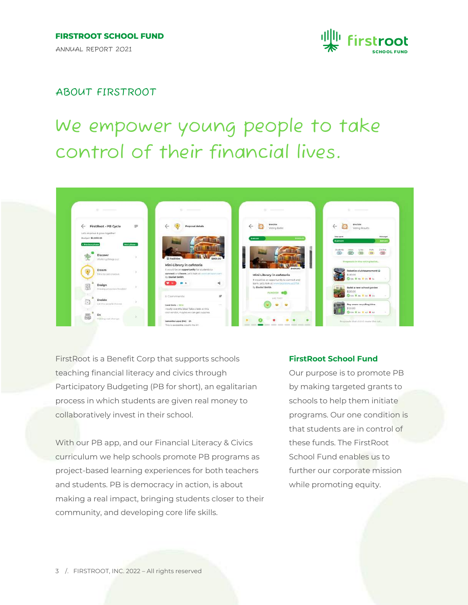

## ABOUT FIRSTROOT

## We empower young people to take control of their financial lives.



FirstRoot is a Benefit Corp that supports schools teaching financial literacy and civics through Participatory Budgeting (PB for short), an egalitarian process in which students are given real money to collaboratively invest in their school.

With our PB app, and our Financial Literacy & Civics curriculum we help schools promote PB programs as project-based learning experiences for both teachers and students. PB is democracy in action, is about making a real impact, bringing students closer to their community, and developing core life skills.

#### **FirstRoot School Fund**

Our purpose is to promote PB by making targeted grants to schools to help them initiate programs. Our one condition is that students are in control of these funds. The FirstRoot School Fund enables us to further our corporate mission while promoting equity.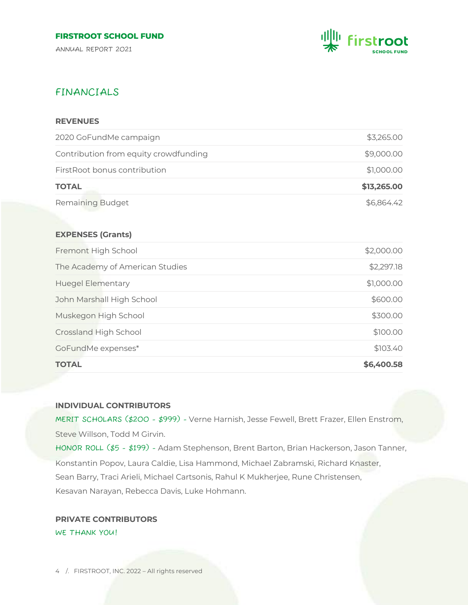ANNUAL REPORT 2021



## FINANCIALS

## **REVENUES**

| \$6,864.42  |
|-------------|
| \$13,265.00 |
| \$1,000.00  |
| \$9,000.00  |
| \$3,265.00  |
|             |

#### **EXPENSES (Grants)**

| <b>TOTAL</b>                    | \$6,400.58 |
|---------------------------------|------------|
| GoFundMe expenses*              | \$103.40   |
| Crossland High School           | \$100.00   |
| Muskegon High School            | \$300.00   |
| John Marshall High School       | \$600.00   |
| <b>Huegel Elementary</b>        | \$1,000.00 |
| The Academy of American Studies | \$2,297.18 |
| Fremont High School             | \$2,000.00 |

## **INDIVIDUAL CONTRIBUTORS**

MERIT SCHOLARS (\$200 - \$999) - Verne Harnish, Jesse Fewell, Brett Frazer, Ellen Enstrom, Steve Willson, Todd M Girvin.

HONOR ROLL (\$5 - \$199) - Adam Stephenson, Brent Barton, Brian Hackerson, Jason Tanner, Konstantin Popov, Laura Caldie, Lisa Hammond, Michael Zabramski, Richard Knaster, Sean Barry, Traci Arieli, Michael Cartsonis, Rahul K Mukherjee, Rune Christensen, Kesavan Narayan, Rebecca Davis, Luke Hohmann.

**PRIVATE CONTRIBUTORS** WE THANK YOU!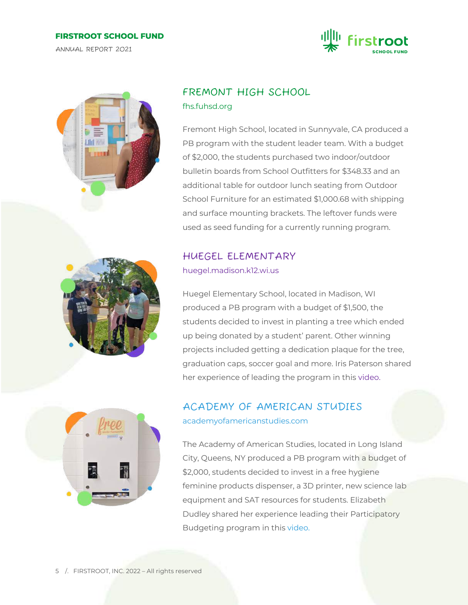#### **FIRSTROOT SCHOOL FUND**

ANNUAL REPORT 2021





## FREMONT HIGH SCHOOL fhs.fuhsd.org

Fremont High School, located in Sunnyvale, CA produced a PB program with the student leader team. With a budget of \$2,000, the students purchased two indoor/outdoor bulletin boards from School Outfitters for \$348.33 and an additional table for outdoor lunch seating from Outdoor School Furniture for an estimated \$1,000.68 with shipping and surface mounting brackets. The leftover funds were used as seed funding for a currently running program.

## HUEGEL ELEMENTARY

huegel.madison.k12.wi.us

Huegel Elementary School, located in Madison, WI produced a PB program with a budget of \$1,500, the students decided to invest in planting a tree which ended up being donated by a student' parent. Other winning projects included getting a dedication plaque for the tree, graduation caps, soccer goal and more. Iris Paterson shared her experience of leading the program in this video.



## ACADEMY OF AMERICAN STUDIES academyofamericanstudies.com

The Academy of American Studies, located in Long Island City, Queens, NY produced a PB program with a budget of \$2,000, students decided to invest in a free hygiene feminine products dispenser, a 3D printer, new science lab equipment and SAT resources for students. Elizabeth Dudley shared her experience leading their Participatory Budgeting program in this video.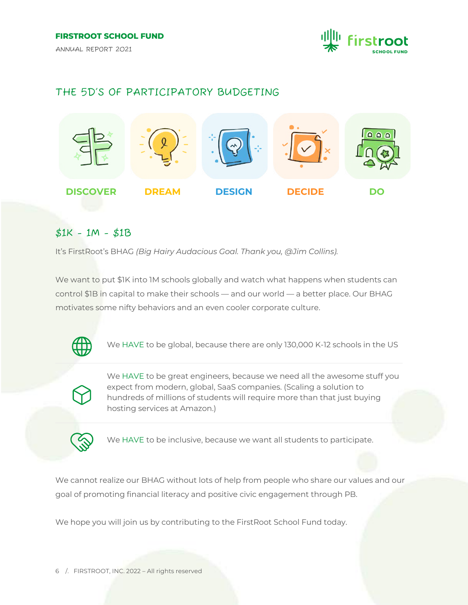

## THE 5D'S OF PARTICIPATORY BUDGETING



## \$1K - 1M - \$1B

It's FirstRoot's BHAG *(Big Hairy Audacious Goal. Thank you, @Jim Collins).*

We want to put \$1K into 1M schools globally and watch what happens when students can control \$1B in capital to make their schools — and our world — a better place. Our BHAG motivates some nifty behaviors and an even cooler corporate culture.



We HAVE to be global, because there are only 130,000 K-12 schools in the US



We HAVE to be great engineers, because we need all the awesome stuff you expect from modern, global, SaaS companies. (Scaling a solution to hundreds of millions of students will require more than that just buying hosting services at Amazon.)



We HAVE to be inclusive, because we want all students to participate.

We cannot realize our BHAG without lots of help from people who share our values and our goal of promoting financial literacy and positive civic engagement through PB.

We hope you will join us by contributing to the FirstRoot School Fund today.